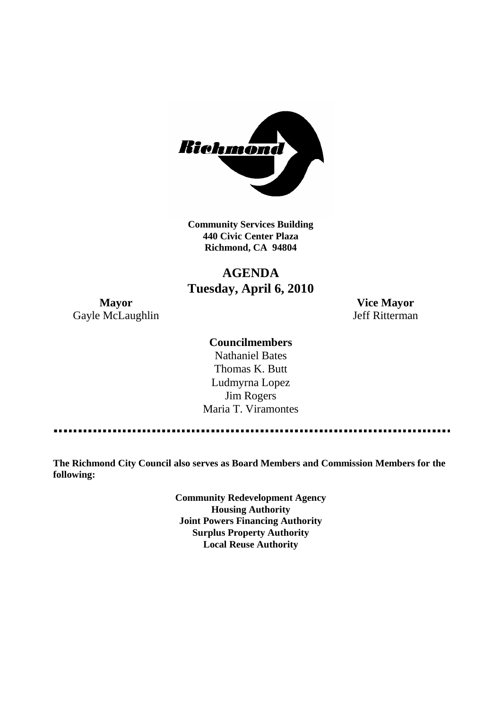

**Community Services Building 440 Civic Center Plaza Richmond, CA 94804**

## **AGENDA Tuesday, April 6, 2010**

**Mayor Vice Mayor** Gayle McLaughlin Jeff Ritterman

#### **Councilmembers**

Nathaniel Bates Thomas K. Butt Ludmyrna Lopez Jim Rogers Maria T. Viramontes

**The Richmond City Council also serves as Board Members and Commission Members for the following:**

> **Community Redevelopment Agency Housing Authority Joint Powers Financing Authority Surplus Property Authority Local Reuse Authority**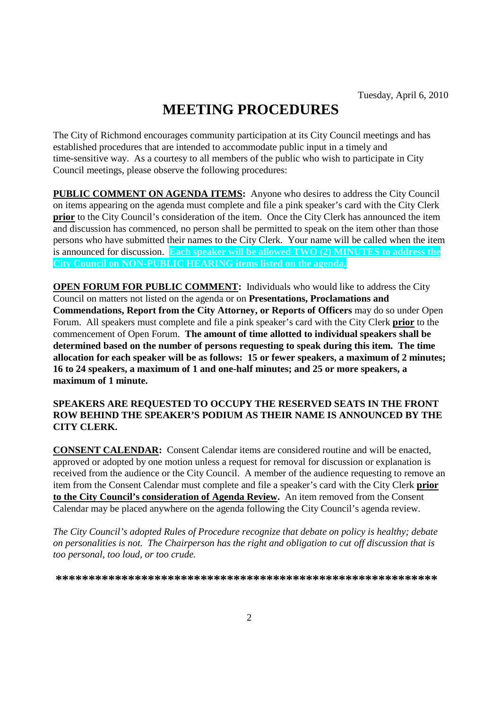# **MEETING PROCEDURES**

The City of Richmond encourages community participation at its City Council meetings and has established procedures that are intended to accommodate public input in a timely and time-sensitive way. As a courtesy to all members of the public who wish to participate in City Council meetings, please observe the following procedures:

**PUBLIC COMMENT ON AGENDA ITEMS:** Anyone who desires to address the City Council on items appearing on the agenda must complete and file a pink speaker's card with the City Clerk **prior** to the City Council's consideration of the item. Once the City Clerk has announced the item and discussion has commenced, no person shall be permitted to speak on the item other than those persons who have submitted their names to the City Clerk. Your name will be called when the item is announced for discussion. **Each speaker will be allowed TWO (2) MINUTES to address the City Council on NON-PUBLIC HEARING items listed on the agenda.**

**OPEN FORUM FOR PUBLIC COMMENT:** Individuals who would like to address the City Council on matters not listed on the agenda or on **Presentations, Proclamations and Commendations, Report from the City Attorney, or Reports of Officers** may do so under Open Forum. All speakers must complete and file a pink speaker's card with the City Clerk **prior** to the commencement of Open Forum. **The amount of time allotted to individual speakers shall be determined based on the number of persons requesting to speak during this item. The time allocation for each speaker will be as follows: 15 or fewer speakers, a maximum of 2 minutes; 16 to 24 speakers, a maximum of 1 and one-half minutes; and 25 or more speakers, a maximum of 1 minute.**

#### **SPEAKERS ARE REQUESTED TO OCCUPY THE RESERVED SEATS IN THE FRONT ROW BEHIND THE SPEAKER'S PODIUM AS THEIR NAME IS ANNOUNCED BY THE CITY CLERK.**

**CONSENT CALENDAR:** Consent Calendar items are considered routine and will be enacted, approved or adopted by one motion unless a request for removal for discussion or explanation is received from the audience or the City Council. A member of the audience requesting to remove an item from the Consent Calendar must complete and file a speaker's card with the City Clerk **prior to the City Council's consideration of Agenda Review.** An item removed from the Consent Calendar may be placed anywhere on the agenda following the City Council's agenda review.

*The City Council's adopted Rules of Procedure recognize that debate on policy is healthy; debate on personalities is not. The Chairperson has the right and obligation to cut off discussion that is too personal, too loud, or too crude.*

**\*\*\*\*\*\*\*\*\*\*\*\*\*\*\*\*\*\*\*\*\*\*\*\*\*\*\*\*\*\*\*\*\*\*\*\*\*\*\*\*\*\*\*\*\*\*\*\*\*\*\*\*\*\*\*\*\*\***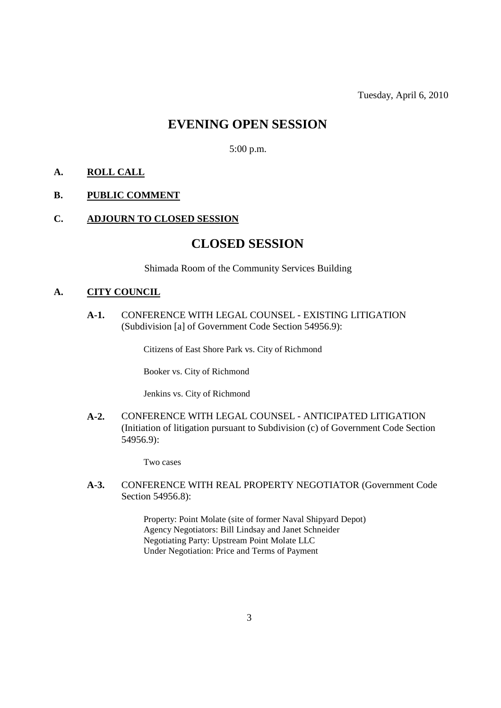## **EVENING OPEN SESSION**

5:00 p.m.

#### **A. ROLL CALL**

#### **B. PUBLIC COMMENT**

#### **C. ADJOURN TO CLOSED SESSION**

### **CLOSED SESSION**

Shimada Room of the Community Services Building

#### **A. CITY COUNCIL**

**A-1.** CONFERENCE WITH LEGAL COUNSEL - EXISTING LITIGATION (Subdivision [a] of Government Code Section 54956.9):

Citizens of East Shore Park vs. City of Richmond

Booker vs. City of Richmond

Jenkins vs. City of Richmond

**A-2.** CONFERENCE WITH LEGAL COUNSEL - ANTICIPATED LITIGATION (Initiation of litigation pursuant to Subdivision (c) of Government Code Section 54956.9):

Two cases

**A-3.** CONFERENCE WITH REAL PROPERTY NEGOTIATOR (Government Code Section 54956.8):

> Property: Point Molate (site of former Naval Shipyard Depot) Agency Negotiators: Bill Lindsay and Janet Schneider Negotiating Party: Upstream Point Molate LLC Under Negotiation: Price and Terms of Payment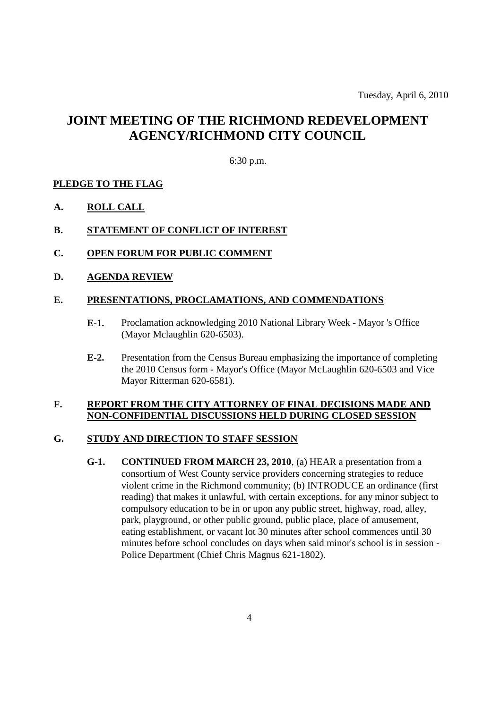# **JOINT MEETING OF THE RICHMOND REDEVELOPMENT AGENCY/RICHMOND CITY COUNCIL**

#### 6:30 p.m.

#### **PLEDGE TO THE FLAG**

**A. ROLL CALL**

#### **B. STATEMENT OF CONFLICT OF INTEREST**

- **C. OPEN FORUM FOR PUBLIC COMMENT**
- **D. AGENDA REVIEW**

#### **E. PRESENTATIONS, PROCLAMATIONS, AND COMMENDATIONS**

- **E-1.** Proclamation acknowledging 2010 National Library Week Mayor 's Office (Mayor Mclaughlin 620-6503).
- **E-2.** Presentation from the Census Bureau emphasizing the importance of completing the 2010 Census form - Mayor's Office (Mayor McLaughlin 620-6503 and Vice Mayor Ritterman 620-6581).

#### **F. REPORT FROM THE CITY ATTORNEY OF FINAL DECISIONS MADE AND NON-CONFIDENTIAL DISCUSSIONS HELD DURING CLOSED SESSION**

#### **G. STUDY AND DIRECTION TO STAFF SESSION**

**G-1. CONTINUED FROM MARCH 23, 2010**, (a) HEAR a presentation from a consortium of West County service providers concerning strategies to reduce violent crime in the Richmond community; (b) INTRODUCE an ordinance (first reading) that makes it unlawful, with certain exceptions, for any minor subject to compulsory education to be in or upon any public street, highway, road, alley, park, playground, or other public ground, public place, place of amusement, eating establishment, or vacant lot 30 minutes after school commences until 30 minutes before school concludes on days when said minor's school is in session - Police Department (Chief Chris Magnus 621-1802).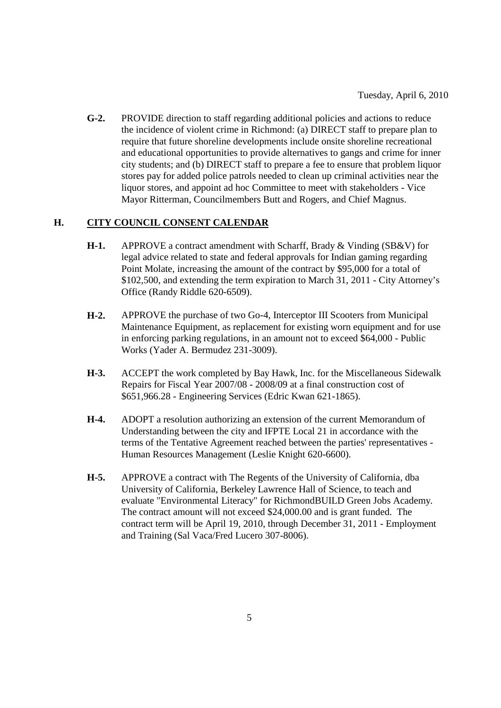**G-2.** PROVIDE direction to staff regarding additional policies and actions to reduce the incidence of violent crime in Richmond: (a) DIRECT staff to prepare plan to require that future shoreline developments include onsite shoreline recreational and educational opportunities to provide alternatives to gangs and crime for inner city students; and (b) DIRECT staff to prepare a fee to ensure that problem liquor stores pay for added police patrols needed to clean up criminal activities near the liquor stores, and appoint ad hoc Committee to meet with stakeholders - Vice Mayor Ritterman, Councilmembers Butt and Rogers, and Chief Magnus.

#### **H. CITY COUNCIL CONSENT CALENDAR**

- **H-1.** APPROVE a contract amendment with Scharff, Brady & Vinding (SB&V) for legal advice related to state and federal approvals for Indian gaming regarding Point Molate, increasing the amount of the contract by \$95,000 for a total of \$102,500, and extending the term expiration to March 31, 2011 - City Attorney's Office (Randy Riddle 620-6509).
- **H-2.** APPROVE the purchase of two Go-4, Interceptor III Scooters from Municipal Maintenance Equipment, as replacement for existing worn equipment and for use in enforcing parking regulations, in an amount not to exceed \$64,000 - Public Works (Yader A. Bermudez 231-3009).
- **H-3.** ACCEPT the work completed by Bay Hawk, Inc. for the Miscellaneous Sidewalk Repairs for Fiscal Year 2007/08 - 2008/09 at a final construction cost of \$651,966.28 - Engineering Services (Edric Kwan 621-1865).
- **H-4.** ADOPT a resolution authorizing an extension of the current Memorandum of Understanding between the city and IFPTE Local 21 in accordance with the terms of the Tentative Agreement reached between the parties' representatives - Human Resources Management (Leslie Knight 620-6600).
- **H-5.** APPROVE a contract with The Regents of the University of California, dba University of California, Berkeley Lawrence Hall of Science, to teach and evaluate "Environmental Literacy" for RichmondBUILD Green Jobs Academy. The contract amount will not exceed \$24,000.00 and is grant funded. The contract term will be April 19, 2010, through December 31, 2011 - Employment and Training (Sal Vaca/Fred Lucero 307-8006).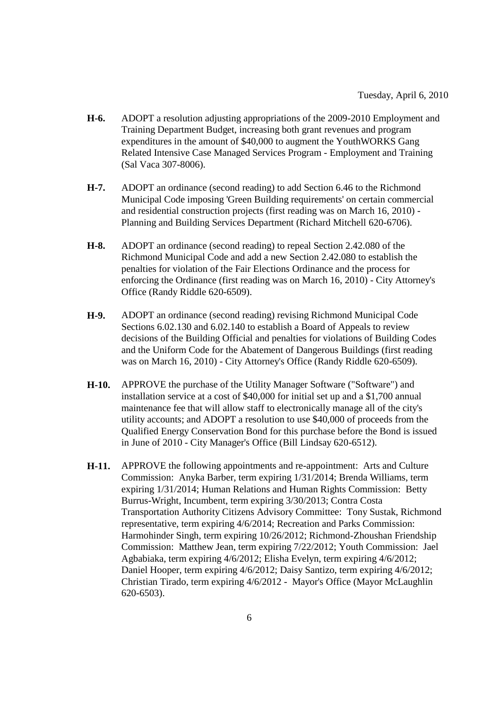- **H-6.** ADOPT a resolution adjusting appropriations of the 2009-2010 Employment and Training Department Budget, increasing both grant revenues and program expenditures in the amount of \$40,000 to augment the YouthWORKS Gang Related Intensive Case Managed Services Program - Employment and Training (Sal Vaca 307-8006).
- **H-7.** ADOPT an ordinance (second reading) to add Section 6.46 to the Richmond Municipal Code imposing 'Green Building requirements' on certain commercial and residential construction projects (first reading was on March 16, 2010) - Planning and Building Services Department (Richard Mitchell 620-6706).
- **H-8.** ADOPT an ordinance (second reading) to repeal Section 2.42.080 of the Richmond Municipal Code and add a new Section 2.42.080 to establish the penalties for violation of the Fair Elections Ordinance and the process for enforcing the Ordinance (first reading was on March 16, 2010) - City Attorney's Office (Randy Riddle 620-6509).
- **H-9.** ADOPT an ordinance (second reading) revising Richmond Municipal Code Sections 6.02.130 and 6.02.140 to establish a Board of Appeals to review decisions of the Building Official and penalties for violations of Building Codes and the Uniform Code for the Abatement of Dangerous Buildings (first reading was on March 16, 2010) - City Attorney's Office (Randy Riddle 620-6509).
- **H-10.** APPROVE the purchase of the Utility Manager Software ("Software") and installation service at a cost of \$40,000 for initial set up and a \$1,700 annual maintenance fee that will allow staff to electronically manage all of the city's utility accounts; and ADOPT a resolution to use \$40,000 of proceeds from the Qualified Energy Conservation Bond for this purchase before the Bond is issued in June of 2010 - City Manager's Office (Bill Lindsay 620-6512).
- **H-11.** APPROVE the following appointments and re-appointment: Arts and Culture Commission: Anyka Barber, term expiring 1/31/2014; Brenda Williams, term expiring 1/31/2014; Human Relations and Human Rights Commission: Betty Burrus-Wright, Incumbent, term expiring 3/30/2013; Contra Costa Transportation Authority Citizens Advisory Committee: Tony Sustak, Richmond representative, term expiring 4/6/2014; Recreation and Parks Commission: Harmohinder Singh, term expiring 10/26/2012; Richmond-Zhoushan Friendship Commission: Matthew Jean, term expiring 7/22/2012; Youth Commission: Jael Agbabiaka, term expiring 4/6/2012; Elisha Evelyn, term expiring 4/6/2012; Daniel Hooper, term expiring 4/6/2012; Daisy Santizo, term expiring 4/6/2012; Christian Tirado, term expiring 4/6/2012 - Mayor's Office (Mayor McLaughlin 620-6503).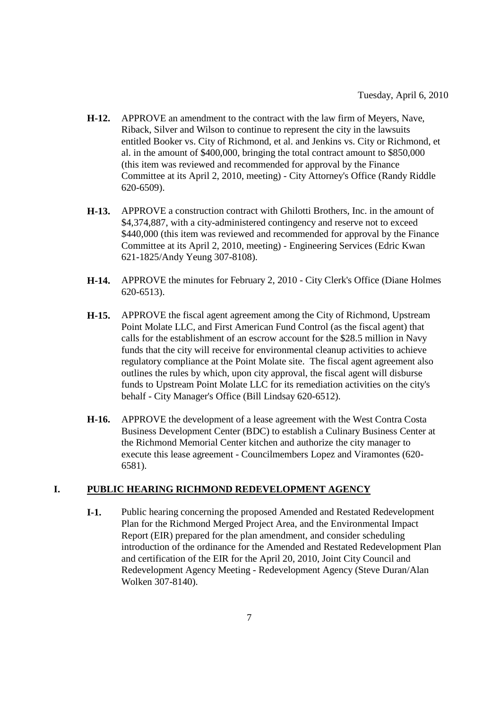- **H-12.** APPROVE an amendment to the contract with the law firm of Meyers, Nave, Riback, Silver and Wilson to continue to represent the city in the lawsuits entitled Booker vs. City of Richmond, et al. and Jenkins vs. City or Richmond, et al. in the amount of \$400,000, bringing the total contract amount to \$850,000 (this item was reviewed and recommended for approval by the Finance Committee at its April 2, 2010, meeting) - City Attorney's Office (Randy Riddle 620-6509).
- **H-13.** APPROVE a construction contract with Ghilotti Brothers, Inc. in the amount of \$4,374,887, with a city-administered contingency and reserve not to exceed \$440,000 (this item was reviewed and recommended for approval by the Finance Committee at its April 2, 2010, meeting) - Engineering Services (Edric Kwan 621-1825/Andy Yeung 307-8108).
- **H-14.** APPROVE the minutes for February 2, 2010 City Clerk's Office (Diane Holmes 620-6513).
- **H-15.** APPROVE the fiscal agent agreement among the City of Richmond, Upstream Point Molate LLC, and First American Fund Control (as the fiscal agent) that calls for the establishment of an escrow account for the \$28.5 million in Navy funds that the city will receive for environmental cleanup activities to achieve regulatory compliance at the Point Molate site. The fiscal agent agreement also outlines the rules by which, upon city approval, the fiscal agent will disburse funds to Upstream Point Molate LLC for its remediation activities on the city's behalf - City Manager's Office (Bill Lindsay 620-6512).
- **H-16.** APPROVE the development of a lease agreement with the West Contra Costa Business Development Center (BDC) to establish a Culinary Business Center at the Richmond Memorial Center kitchen and authorize the city manager to execute this lease agreement - Councilmembers Lopez and Viramontes (620- 6581).

#### **I. PUBLIC HEARING RICHMOND REDEVELOPMENT AGENCY**

**I-1.** Public hearing concerning the proposed Amended and Restated Redevelopment Plan for the Richmond Merged Project Area, and the Environmental Impact Report (EIR) prepared for the plan amendment, and consider scheduling introduction of the ordinance for the Amended and Restated Redevelopment Plan and certification of the EIR for the April 20, 2010, Joint City Council and Redevelopment Agency Meeting - Redevelopment Agency (Steve Duran/Alan Wolken 307-8140).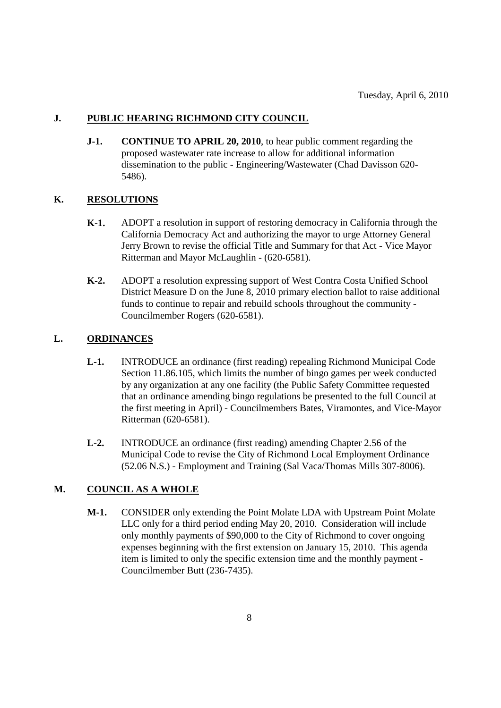#### **J. PUBLIC HEARING RICHMOND CITY COUNCIL**

**J-1. CONTINUE TO APRIL 20, 2010**, to hear public comment regarding the proposed wastewater rate increase to allow for additional information dissemination to the public - Engineering/Wastewater (Chad Davisson 620- 5486).

#### **K. RESOLUTIONS**

- **K-1.** ADOPT a resolution in support of restoring democracy in California through the California Democracy Act and authorizing the mayor to urge Attorney General Jerry Brown to revise the official Title and Summary for that Act - Vice Mayor Ritterman and Mayor McLaughlin - (620-6581).
- **K-2.** ADOPT a resolution expressing support of West Contra Costa Unified School District Measure D on the June 8, 2010 primary election ballot to raise additional funds to continue to repair and rebuild schools throughout the community - Councilmember Rogers (620-6581).

#### **L. ORDINANCES**

- **L-1.** INTRODUCE an ordinance (first reading) repealing Richmond Municipal Code Section 11.86.105, which limits the number of bingo games per week conducted by any organization at any one facility (the Public Safety Committee requested that an ordinance amending bingo regulations be presented to the full Council at the first meeting in April) - Councilmembers Bates, Viramontes, and Vice-Mayor Ritterman (620-6581).
- **L-2.** INTRODUCE an ordinance (first reading) amending Chapter 2.56 of the Municipal Code to revise the City of Richmond Local Employment Ordinance (52.06 N.S.) - Employment and Training (Sal Vaca/Thomas Mills 307-8006).

#### **M. COUNCIL AS A WHOLE**

**M-1.** CONSIDER only extending the Point Molate LDA with Upstream Point Molate LLC only for a third period ending May 20, 2010. Consideration will include only monthly payments of \$90,000 to the City of Richmond to cover ongoing expenses beginning with the first extension on January 15, 2010. This agenda item is limited to only the specific extension time and the monthly payment - Councilmember Butt (236-7435).